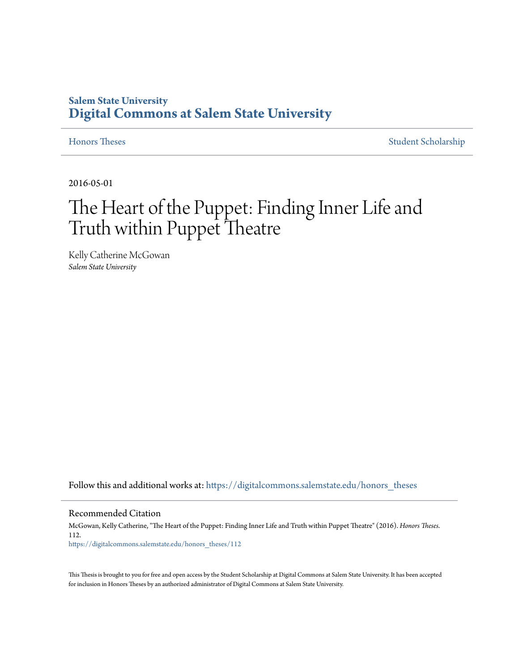## **Salem State University [Digital Commons at Salem State University](https://digitalcommons.salemstate.edu?utm_source=digitalcommons.salemstate.edu%2Fhonors_theses%2F112&utm_medium=PDF&utm_campaign=PDFCoverPages)**

**[Honors Theses](https://digitalcommons.salemstate.edu/honors_theses?utm_source=digitalcommons.salemstate.edu%2Fhonors_theses%2F112&utm_medium=PDF&utm_campaign=PDFCoverPages)** [Student Scholarship](https://digitalcommons.salemstate.edu/student_scholarship?utm_source=digitalcommons.salemstate.edu%2Fhonors_theses%2F112&utm_medium=PDF&utm_campaign=PDFCoverPages)

2016-05-01

# The Heart of the Puppet: Finding Inner Life and Truth within Puppet Theatre

Kelly Catherine McGowan *Salem State University*

Follow this and additional works at: [https://digitalcommons.salemstate.edu/honors\\_theses](https://digitalcommons.salemstate.edu/honors_theses?utm_source=digitalcommons.salemstate.edu%2Fhonors_theses%2F112&utm_medium=PDF&utm_campaign=PDFCoverPages)

#### Recommended Citation

McGowan, Kelly Catherine, "The Heart of the Puppet: Finding Inner Life and Truth within Puppet Theatre" (2016). *Honors Theses*. 112. [https://digitalcommons.salemstate.edu/honors\\_theses/112](https://digitalcommons.salemstate.edu/honors_theses/112?utm_source=digitalcommons.salemstate.edu%2Fhonors_theses%2F112&utm_medium=PDF&utm_campaign=PDFCoverPages)

This Thesis is brought to you for free and open access by the Student Scholarship at Digital Commons at Salem State University. It has been accepted for inclusion in Honors Theses by an authorized administrator of Digital Commons at Salem State University.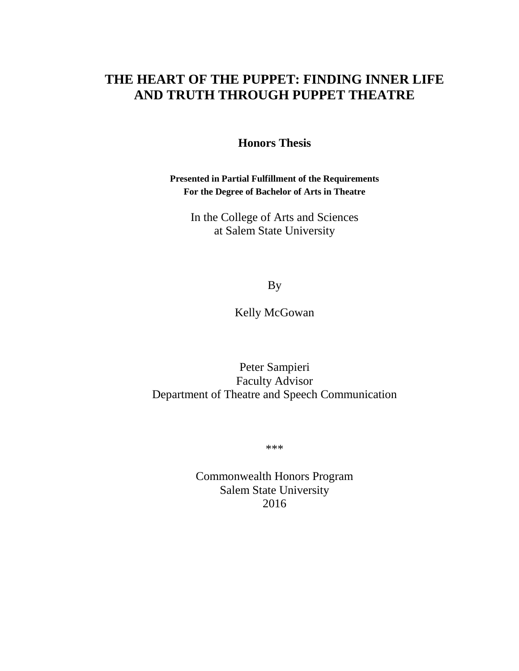# **THE HEART OF THE PUPPET: FINDING INNER LIFE AND TRUTH THROUGH PUPPET THEATRE**

**Honors Thesis**

**Presented in Partial Fulfillment of the Requirements For the Degree of Bachelor of Arts in Theatre**

In the College of Arts and Sciences at Salem State University

By

Kelly McGowan

Peter Sampieri Faculty Advisor Department of Theatre and Speech Communication

\*\*\*

Commonwealth Honors Program Salem State University 2016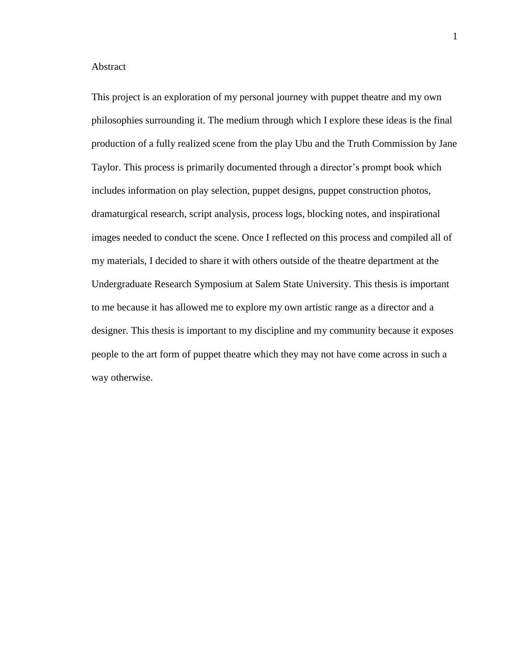#### Abstract

This project is an exploration of my personal journey with puppet theatre and my own philosophies surrounding it. The medium through which I explore these ideas is the final production of a fully realized scene from the play Ubu and the Truth Commission by Jane Taylor. This process is primarily documented through a director's prompt book which includes information on play selection, puppet designs, puppet construction photos, dramaturgical research, script analysis, process logs, blocking notes, and inspirational images needed to conduct the scene. Once I reflected on this process and compiled all of my materials, I decided to share it with others outside of the theatre department at the Undergraduate Research Symposium at Salem State University. This thesis is important to me because it has allowed me to explore my own artistic range as a director and a designer. This thesis is important to my discipline and my community because it exposes people to the art form of puppet theatre which they may not have come across in such a way otherwise.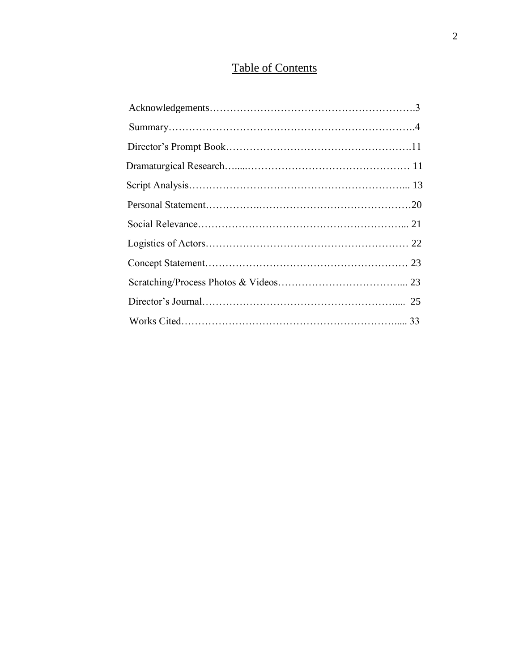# Table of Contents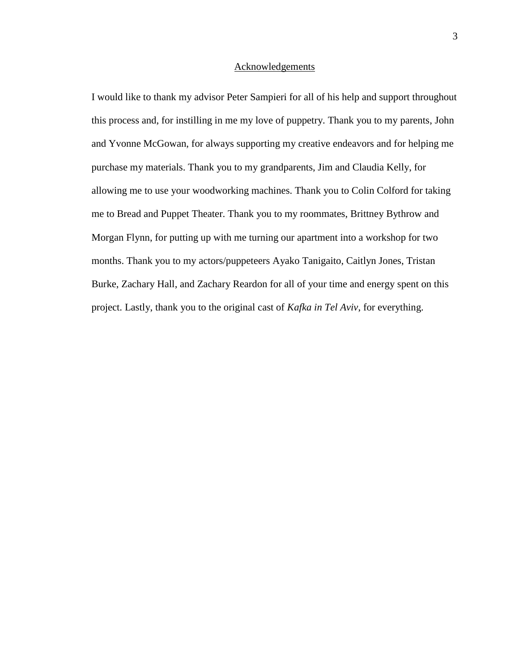#### Acknowledgements

I would like to thank my advisor Peter Sampieri for all of his help and support throughout this process and, for instilling in me my love of puppetry. Thank you to my parents, John and Yvonne McGowan, for always supporting my creative endeavors and for helping me purchase my materials. Thank you to my grandparents, Jim and Claudia Kelly, for allowing me to use your woodworking machines. Thank you to Colin Colford for taking me to Bread and Puppet Theater. Thank you to my roommates, Brittney Bythrow and Morgan Flynn, for putting up with me turning our apartment into a workshop for two months. Thank you to my actors/puppeteers Ayako Tanigaito, Caitlyn Jones, Tristan Burke, Zachary Hall, and Zachary Reardon for all of your time and energy spent on this project. Lastly, thank you to the original cast of *Kafka in Tel Aviv*, for everything.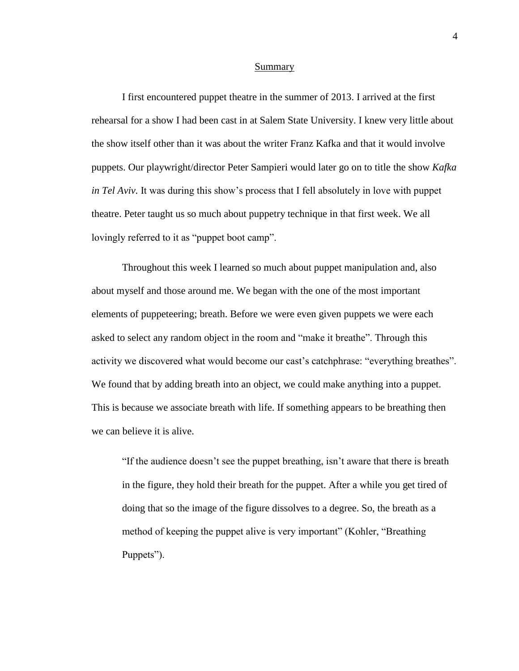#### Summary

I first encountered puppet theatre in the summer of 2013. I arrived at the first rehearsal for a show I had been cast in at Salem State University. I knew very little about the show itself other than it was about the writer Franz Kafka and that it would involve puppets. Our playwright/director Peter Sampieri would later go on to title the show *Kafka in Tel Aviv.* It was during this show's process that I fell absolutely in love with puppet theatre. Peter taught us so much about puppetry technique in that first week. We all lovingly referred to it as "puppet boot camp".

Throughout this week I learned so much about puppet manipulation and, also about myself and those around me. We began with the one of the most important elements of puppeteering; breath. Before we were even given puppets we were each asked to select any random object in the room and "make it breathe". Through this activity we discovered what would become our cast's catchphrase: "everything breathes". We found that by adding breath into an object, we could make anything into a puppet. This is because we associate breath with life. If something appears to be breathing then we can believe it is alive.

"If the audience doesn't see the puppet breathing, isn't aware that there is breath in the figure, they hold their breath for the puppet. After a while you get tired of doing that so the image of the figure dissolves to a degree. So, the breath as a method of keeping the puppet alive is very important" (Kohler, "Breathing Puppets").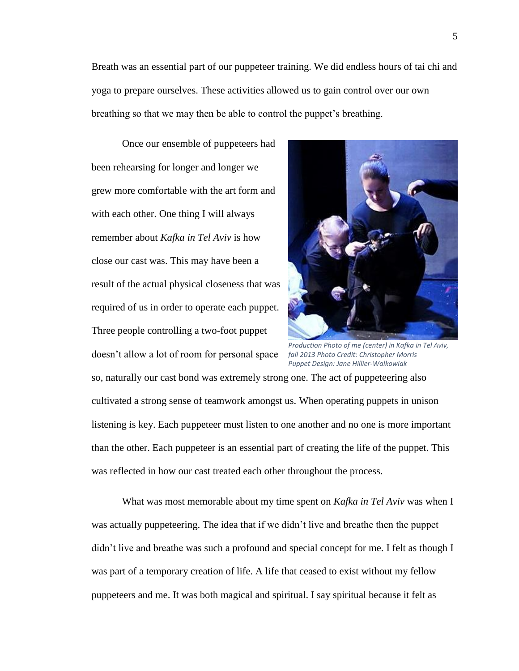Breath was an essential part of our puppeteer training. We did endless hours of tai chi and yoga to prepare ourselves. These activities allowed us to gain control over our own breathing so that we may then be able to control the puppet's breathing.

Once our ensemble of puppeteers had been rehearsing for longer and longer we grew more comfortable with the art form and with each other. One thing I will always remember about *Kafka in Tel Aviv* is how close our cast was. This may have been a result of the actual physical closeness that was required of us in order to operate each puppet. Three people controlling a two-foot puppet doesn't allow a lot of room for personal space



*Production Photo of me (center) in Kafka in Tel Aviv, fall 2013 Photo Credit: Christopher Morris Puppet Design: Jane Hillier-Walkowiak*

so, naturally our cast bond was extremely strong one. The act of puppeteering also cultivated a strong sense of teamwork amongst us. When operating puppets in unison listening is key. Each puppeteer must listen to one another and no one is more important than the other. Each puppeteer is an essential part of creating the life of the puppet. This was reflected in how our cast treated each other throughout the process.

What was most memorable about my time spent on *Kafka in Tel Aviv* was when I was actually puppeteering. The idea that if we didn't live and breathe then the puppet didn't live and breathe was such a profound and special concept for me. I felt as though I was part of a temporary creation of life. A life that ceased to exist without my fellow puppeteers and me. It was both magical and spiritual. I say spiritual because it felt as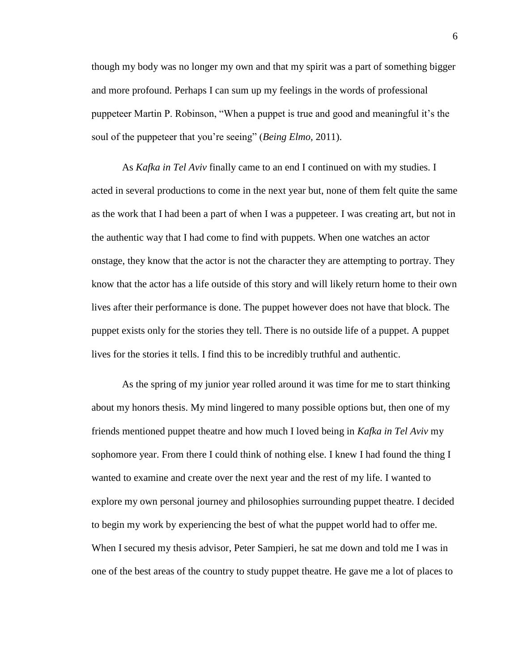though my body was no longer my own and that my spirit was a part of something bigger and more profound. Perhaps I can sum up my feelings in the words of professional puppeteer Martin P. Robinson, "When a puppet is true and good and meaningful it's the soul of the puppeteer that you're seeing" (*Being Elmo,* 2011).

As *Kafka in Tel Aviv* finally came to an end I continued on with my studies. I acted in several productions to come in the next year but, none of them felt quite the same as the work that I had been a part of when I was a puppeteer. I was creating art, but not in the authentic way that I had come to find with puppets. When one watches an actor onstage, they know that the actor is not the character they are attempting to portray. They know that the actor has a life outside of this story and will likely return home to their own lives after their performance is done. The puppet however does not have that block. The puppet exists only for the stories they tell. There is no outside life of a puppet. A puppet lives for the stories it tells. I find this to be incredibly truthful and authentic.

As the spring of my junior year rolled around it was time for me to start thinking about my honors thesis. My mind lingered to many possible options but, then one of my friends mentioned puppet theatre and how much I loved being in *Kafka in Tel Aviv* my sophomore year. From there I could think of nothing else. I knew I had found the thing I wanted to examine and create over the next year and the rest of my life. I wanted to explore my own personal journey and philosophies surrounding puppet theatre. I decided to begin my work by experiencing the best of what the puppet world had to offer me. When I secured my thesis advisor, Peter Sampieri, he sat me down and told me I was in one of the best areas of the country to study puppet theatre. He gave me a lot of places to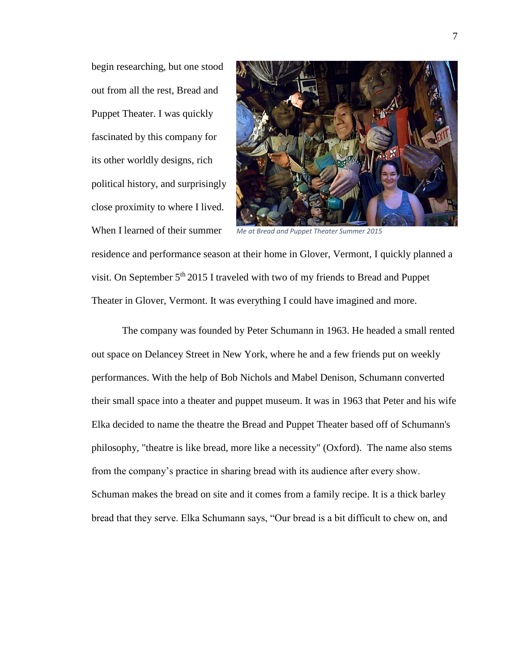begin researching, but one stood out from all the rest, Bread and Puppet Theater. I was quickly fascinated by this company for its other worldly designs, rich political history, and surprisingly close proximity to where I lived. When I learned of their summer



*Me at Bread and Puppet Theater Summer 2015*

residence and performance season at their home in Glover, Vermont, I quickly planned a visit. On September  $5<sup>th</sup> 2015$  I traveled with two of my friends to Bread and Puppet Theater in Glover, Vermont. It was everything I could have imagined and more.

The company was founded by Peter Schumann in 1963. He headed a small rented out space on Delancey Street in New York, where he and a few friends put on weekly performances. With the help of Bob Nichols and Mabel Denison, Schumann converted their small space into a theater and puppet museum. It was in 1963 that Peter and his wife Elka decided to name the theatre the Bread and Puppet Theater based off of Schumann's philosophy, "theatre is like bread, more like a necessity" (Oxford). The name also stems from the company's practice in sharing bread with its audience after every show. Schuman makes the bread on site and it comes from a family recipe. It is a thick barley bread that they serve. Elka Schumann says, "Our bread is a bit difficult to chew on, and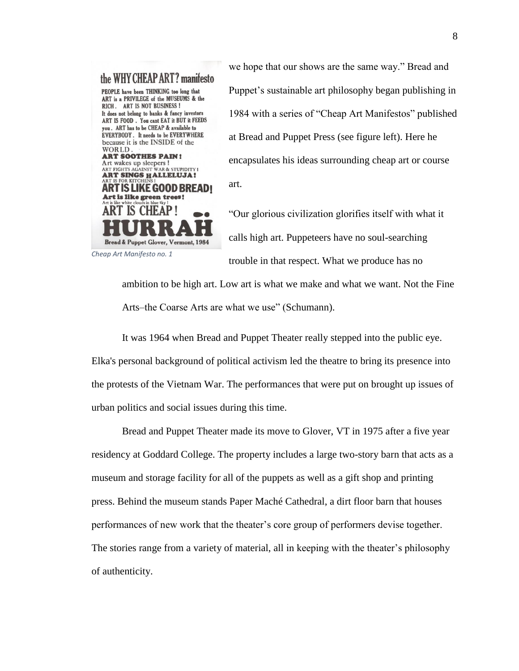

we hope that our shows are the same way." Bread and Puppet's sustainable art philosophy began publishing in 1984 with a series of "Cheap Art Manifestos" published at Bread and Puppet Press (see figure left). Here he encapsulates his ideas surrounding cheap art or course art.

"Our glorious civilization glorifies itself with what it calls high art. Puppeteers have no soul-searching trouble in that respect. What we produce has no

ambition to be high art. Low art is what we make and what we want. Not the Fine Arts–the Coarse Arts are what we use" (Schumann).

It was 1964 when Bread and Puppet Theater really stepped into the public eye. Elka's personal background of political activism led the theatre to bring its presence into the protests of the Vietnam War. The performances that were put on brought up issues of urban politics and social issues during this time.

Bread and Puppet Theater made its move to Glover, VT in 1975 after a five year residency at Goddard College. The property includes a large two-story barn that acts as a museum and storage facility for all of the puppets as well as a gift shop and printing press. Behind the museum stands Paper Maché Cathedral, a dirt floor barn that houses performances of new work that the theater's core group of performers devise together. The stories range from a variety of material, all in keeping with the theater's philosophy of authenticity.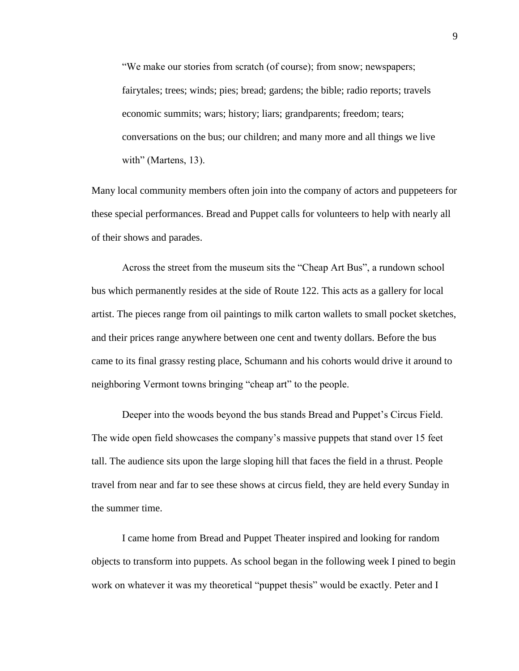"We make our stories from scratch (of course); from snow; newspapers; fairytales; trees; winds; pies; bread; gardens; the bible; radio reports; travels economic summits; wars; history; liars; grandparents; freedom; tears; conversations on the bus; our children; and many more and all things we live with" (Martens, 13).

Many local community members often join into the company of actors and puppeteers for these special performances. Bread and Puppet calls for volunteers to help with nearly all of their shows and parades.

Across the street from the museum sits the "Cheap Art Bus", a rundown school bus which permanently resides at the side of Route 122. This acts as a gallery for local artist. The pieces range from oil paintings to milk carton wallets to small pocket sketches, and their prices range anywhere between one cent and twenty dollars. Before the bus came to its final grassy resting place, Schumann and his cohorts would drive it around to neighboring Vermont towns bringing "cheap art" to the people.

Deeper into the woods beyond the bus stands Bread and Puppet's Circus Field. The wide open field showcases the company's massive puppets that stand over 15 feet tall. The audience sits upon the large sloping hill that faces the field in a thrust. People travel from near and far to see these shows at circus field, they are held every Sunday in the summer time.

I came home from Bread and Puppet Theater inspired and looking for random objects to transform into puppets. As school began in the following week I pined to begin work on whatever it was my theoretical "puppet thesis" would be exactly. Peter and I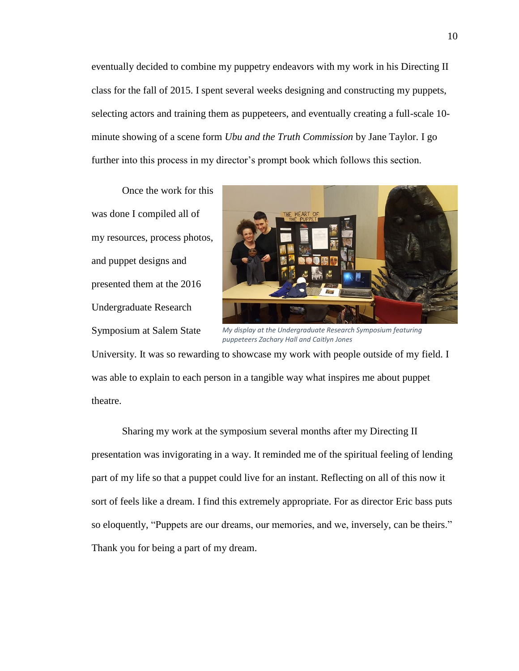eventually decided to combine my puppetry endeavors with my work in his Directing II class for the fall of 2015. I spent several weeks designing and constructing my puppets, selecting actors and training them as puppeteers, and eventually creating a full-scale 10 minute showing of a scene form *Ubu and the Truth Commission* by Jane Taylor. I go further into this process in my director's prompt book which follows this section.

Once the work for this was done I compiled all of my resources, process photos, and puppet designs and presented them at the 2016 Undergraduate Research Symposium at Salem State



*My display at the Undergraduate Research Symposium featuring puppeteers Zachary Hall and Caitlyn Jones*

University. It was so rewarding to showcase my work with people outside of my field. I was able to explain to each person in a tangible way what inspires me about puppet theatre.

Sharing my work at the symposium several months after my Directing II presentation was invigorating in a way. It reminded me of the spiritual feeling of lending part of my life so that a puppet could live for an instant. Reflecting on all of this now it sort of feels like a dream. I find this extremely appropriate. For as director Eric bass puts so eloquently, "Puppets are our dreams, our memories, and we, inversely, can be theirs." Thank you for being a part of my dream.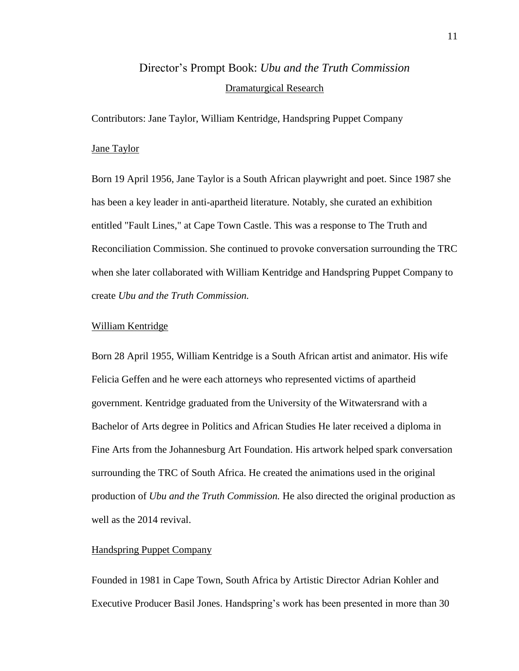# Director's Prompt Book: *Ubu and the Truth Commission*  Dramaturgical Research

Contributors: Jane Taylor, William Kentridge, Handspring Puppet Company

#### Jane Taylor

Born 19 April 1956, Jane Taylor is a South African playwright and poet. Since 1987 she has been a key leader in anti-apartheid literature. Notably, she curated an exhibition entitled "Fault Lines," at Cape Town Castle. This was a response to The Truth and Reconciliation Commission. She continued to provoke conversation surrounding the TRC when she later collaborated with William Kentridge and Handspring Puppet Company to create *Ubu and the Truth Commission.*

#### William Kentridge

Born 28 April 1955, William Kentridge is a South African artist and animator. His wife Felicia Geffen and he were each attorneys who represented victims of apartheid government. Kentridge graduated from the University of the Witwatersrand with a Bachelor of Arts degree in Politics and African Studies He later received a diploma in Fine Arts from the Johannesburg Art Foundation. His artwork helped spark conversation surrounding the TRC of South Africa. He created the animations used in the original production of *Ubu and the Truth Commission.* He also directed the original production as well as the 2014 revival.

#### Handspring Puppet Company

Founded in 1981 in Cape Town, South Africa by Artistic Director Adrian Kohler and Executive Producer Basil Jones. Handspring's work has been presented in more than 30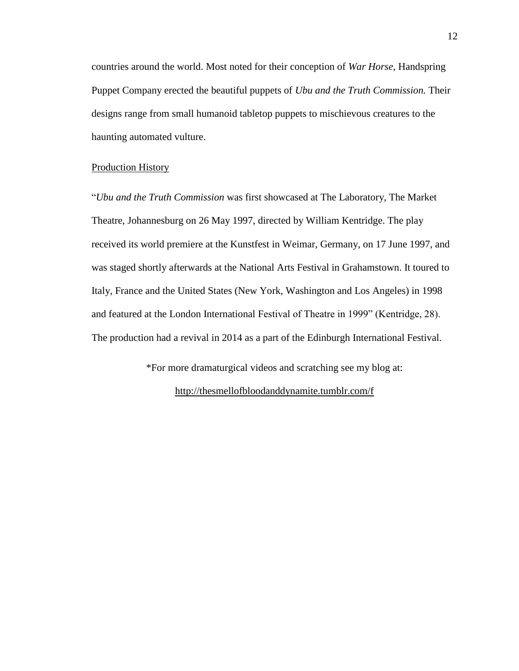countries around the world. Most noted for their conception of *War Horse*, Handspring Puppet Company erected the beautiful puppets of *Ubu and the Truth Commission.* Their designs range from small humanoid tabletop puppets to mischievous creatures to the haunting automated vulture.

#### Production History

"*Ubu and the Truth Commission* was first showcased at The Laboratory, The Market Theatre, Johannesburg on 26 May 1997, directed by William Kentridge. The play received its world premiere at the Kunstfest in Weimar, Germany, on 17 June 1997, and was staged shortly afterwards at the National Arts Festival in Grahamstown. It toured to Italy, France and the United States (New York, Washington and Los Angeles) in 1998 and featured at the London International Festival of Theatre in 1999" (Kentridge, 28). The production had a revival in 2014 as a part of the Edinburgh International Festival.

> \*For more dramaturgical videos and scratching see my blog at: <http://thesmellofbloodanddynamite.tumblr.com/f>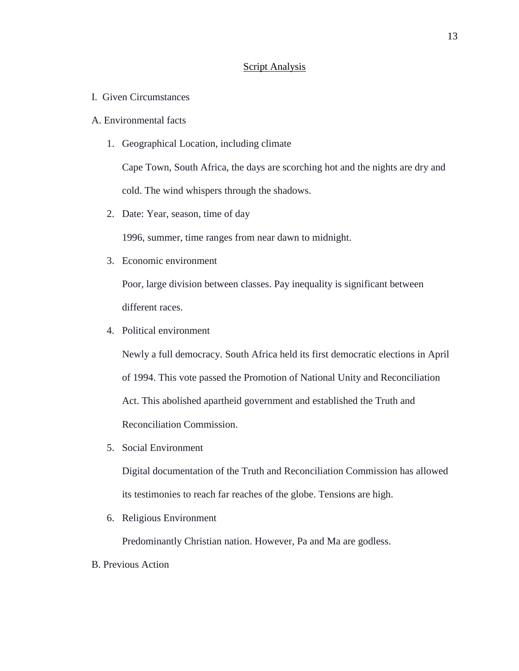#### Script Analysis

I. Given Circumstances

#### A. Environmental facts

1. Geographical Location, including climate

Cape Town, South Africa, the days are scorching hot and the nights are dry and cold. The wind whispers through the shadows.

2. Date: Year, season, time of day

1996, summer, time ranges from near dawn to midnight.

3. Economic environment

Poor, large division between classes. Pay inequality is significant between different races.

4. Political environment

Newly a full democracy. South Africa held its first democratic elections in April of 1994. This vote passed the Promotion of National Unity and Reconciliation Act. This abolished apartheid government and established the Truth and Reconciliation Commission.

5. Social Environment

Digital documentation of the Truth and Reconciliation Commission has allowed its testimonies to reach far reaches of the globe. Tensions are high.

6. Religious Environment

Predominantly Christian nation. However, Pa and Ma are godless.

B. Previous Action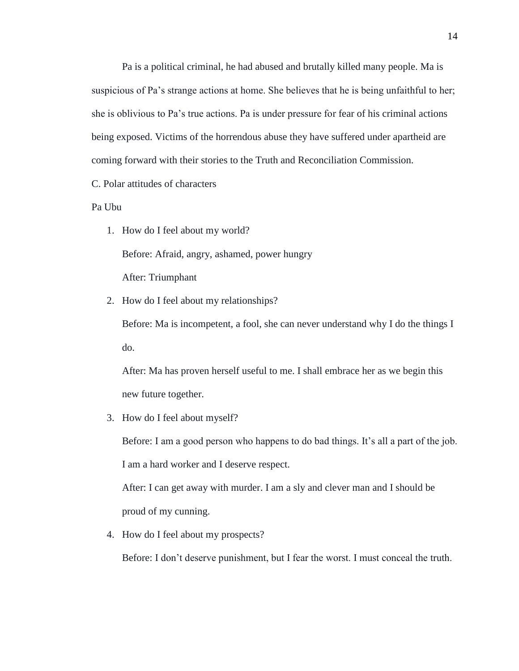Pa is a political criminal, he had abused and brutally killed many people. Ma is suspicious of Pa's strange actions at home. She believes that he is being unfaithful to her; she is oblivious to Pa's true actions. Pa is under pressure for fear of his criminal actions being exposed. Victims of the horrendous abuse they have suffered under apartheid are coming forward with their stories to the Truth and Reconciliation Commission.

C. Polar attitudes of characters

Pa Ubu

1. How do I feel about my world? Before: Afraid, angry, ashamed, power hungry

After: Triumphant

2. How do I feel about my relationships?

Before: Ma is incompetent, a fool, she can never understand why I do the things I do.

After: Ma has proven herself useful to me. I shall embrace her as we begin this new future together.

3. How do I feel about myself?

Before: I am a good person who happens to do bad things. It's all a part of the job. I am a hard worker and I deserve respect.

After: I can get away with murder. I am a sly and clever man and I should be proud of my cunning.

4. How do I feel about my prospects?

Before: I don't deserve punishment, but I fear the worst. I must conceal the truth.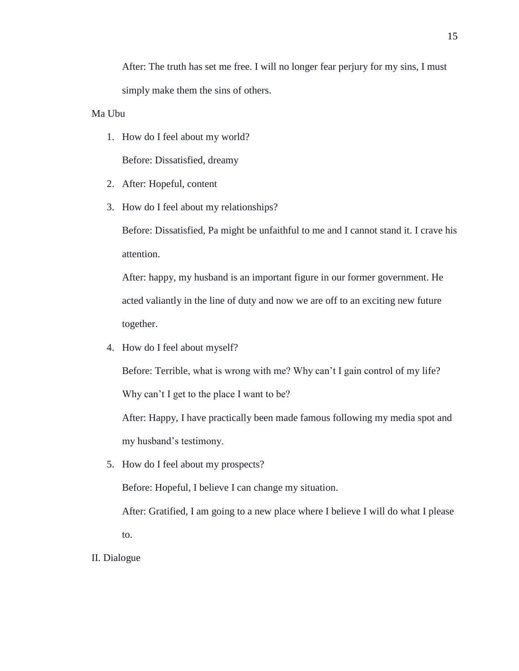After: The truth has set me free. I will no longer fear perjury for my sins, I must simply make them the sins of others.

Ma Ubu

1. How do I feel about my world?

Before: Dissatisfied, dreamy

- 2. After: Hopeful, content
- 3. How do I feel about my relationships?

Before: Dissatisfied, Pa might be unfaithful to me and I cannot stand it. I crave his attention.

After: happy, my husband is an important figure in our former government. He acted valiantly in the line of duty and now we are off to an exciting new future together.

4. How do I feel about myself?

Before: Terrible, what is wrong with me? Why can't I gain control of my life? Why can't I get to the place I want to be?

After: Happy, I have practically been made famous following my media spot and my husband's testimony.

5. How do I feel about my prospects?

Before: Hopeful, I believe I can change my situation.

After: Gratified, I am going to a new place where I believe I will do what I please to.

II. Dialogue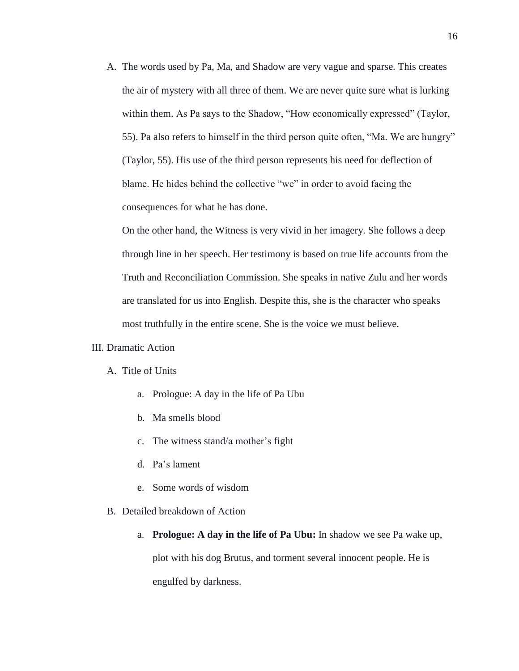A. The words used by Pa, Ma, and Shadow are very vague and sparse. This creates the air of mystery with all three of them. We are never quite sure what is lurking within them. As Pa says to the Shadow, "How economically expressed" (Taylor, 55). Pa also refers to himself in the third person quite often, "Ma. We are hungry" (Taylor, 55). His use of the third person represents his need for deflection of blame. He hides behind the collective "we" in order to avoid facing the consequences for what he has done.

On the other hand, the Witness is very vivid in her imagery. She follows a deep through line in her speech. Her testimony is based on true life accounts from the Truth and Reconciliation Commission. She speaks in native Zulu and her words are translated for us into English. Despite this, she is the character who speaks most truthfully in the entire scene. She is the voice we must believe.

#### III. Dramatic Action

#### A. Title of Units

- a. Prologue: A day in the life of Pa Ubu
- b. Ma smells blood
- c. The witness stand/a mother's fight
- d. Pa's lament
- e. Some words of wisdom
- B. Detailed breakdown of Action
	- a. **Prologue: A day in the life of Pa Ubu:** In shadow we see Pa wake up, plot with his dog Brutus, and torment several innocent people. He is engulfed by darkness.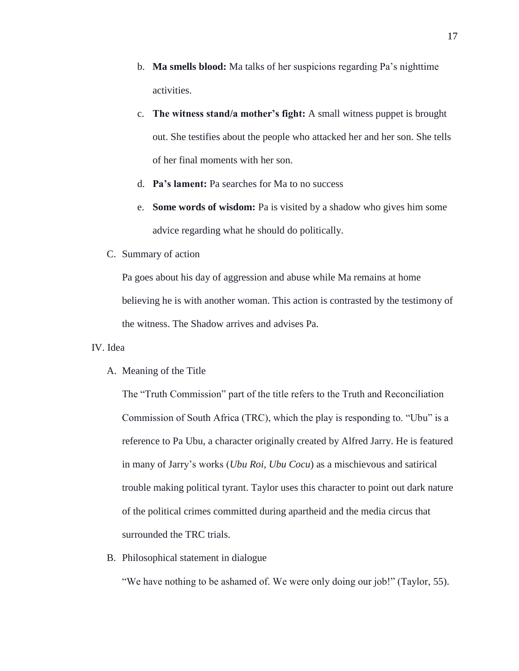- b. **Ma smells blood:** Ma talks of her suspicions regarding Pa's nighttime activities.
- c. **The witness stand/a mother's fight:** A small witness puppet is brought out. She testifies about the people who attacked her and her son. She tells of her final moments with her son.
- d. **Pa's lament:** Pa searches for Ma to no success
- e. **Some words of wisdom:** Pa is visited by a shadow who gives him some advice regarding what he should do politically.
- C. Summary of action

Pa goes about his day of aggression and abuse while Ma remains at home believing he is with another woman. This action is contrasted by the testimony of the witness. The Shadow arrives and advises Pa.

#### IV. Idea

A. Meaning of the Title

The "Truth Commission" part of the title refers to the Truth and Reconciliation Commission of South Africa (TRC), which the play is responding to. "Ubu" is a reference to Pa Ubu, a character originally created by Alfred Jarry. He is featured in many of Jarry's works (*Ubu Roi, Ubu Cocu*) as a mischievous and satirical trouble making political tyrant. Taylor uses this character to point out dark nature of the political crimes committed during apartheid and the media circus that surrounded the TRC trials.

B. Philosophical statement in dialogue

"We have nothing to be ashamed of. We were only doing our job!" (Taylor, 55).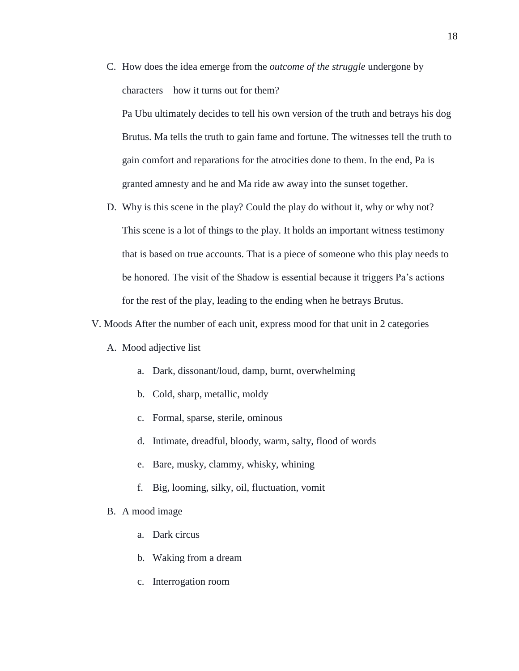C. How does the idea emerge from the *outcome of the struggle* undergone by characters—how it turns out for them?

Pa Ubu ultimately decides to tell his own version of the truth and betrays his dog Brutus. Ma tells the truth to gain fame and fortune. The witnesses tell the truth to gain comfort and reparations for the atrocities done to them. In the end, Pa is granted amnesty and he and Ma ride aw away into the sunset together.

D. Why is this scene in the play? Could the play do without it, why or why not? This scene is a lot of things to the play. It holds an important witness testimony that is based on true accounts. That is a piece of someone who this play needs to be honored. The visit of the Shadow is essential because it triggers Pa's actions for the rest of the play, leading to the ending when he betrays Brutus.

#### V. Moods After the number of each unit, express mood for that unit in 2 categories

#### A. Mood adjective list

- a. Dark, dissonant/loud, damp, burnt, overwhelming
- b. Cold, sharp, metallic, moldy
- c. Formal, sparse, sterile, ominous
- d. Intimate, dreadful, bloody, warm, salty, flood of words
- e. Bare, musky, clammy, whisky, whining
- f. Big, looming, silky, oil, fluctuation, vomit

#### B. A mood image

- a. Dark circus
- b. Waking from a dream
- c. Interrogation room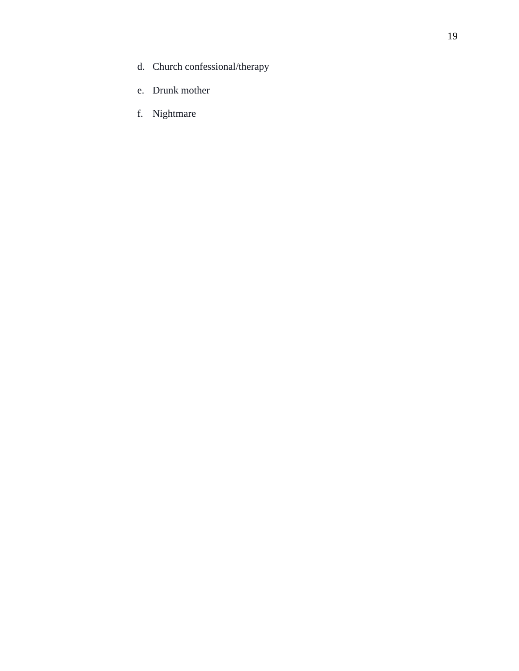- d. Church confessional/therapy
- e. Drunk mother
- f. Nightmare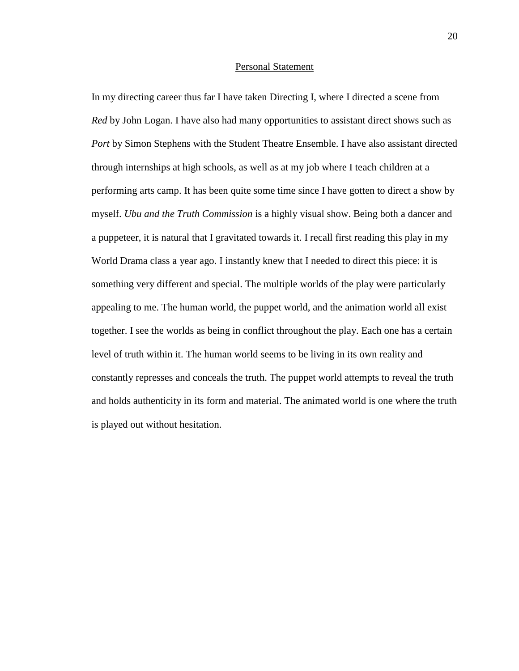#### Personal Statement

In my directing career thus far I have taken Directing I, where I directed a scene from *Red* by John Logan. I have also had many opportunities to assistant direct shows such as *Port* by Simon Stephens with the Student Theatre Ensemble. I have also assistant directed through internships at high schools, as well as at my job where I teach children at a performing arts camp. It has been quite some time since I have gotten to direct a show by myself. *Ubu and the Truth Commission* is a highly visual show. Being both a dancer and a puppeteer, it is natural that I gravitated towards it. I recall first reading this play in my World Drama class a year ago. I instantly knew that I needed to direct this piece: it is something very different and special. The multiple worlds of the play were particularly appealing to me. The human world, the puppet world, and the animation world all exist together. I see the worlds as being in conflict throughout the play. Each one has a certain level of truth within it. The human world seems to be living in its own reality and constantly represses and conceals the truth. The puppet world attempts to reveal the truth and holds authenticity in its form and material. The animated world is one where the truth is played out without hesitation.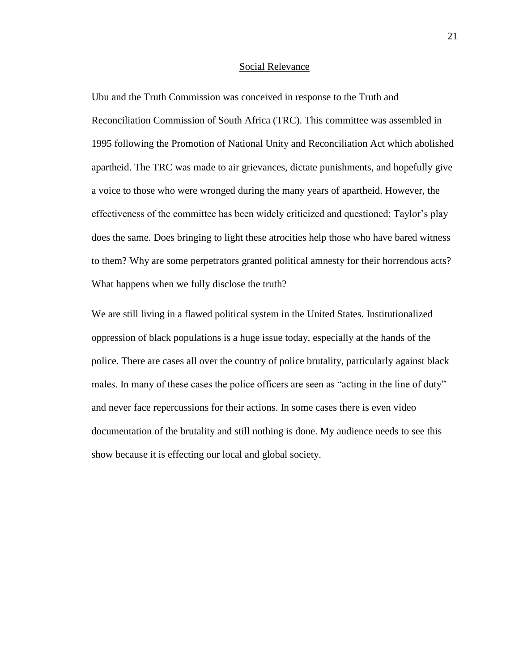#### Social Relevance

Ubu and the Truth Commission was conceived in response to the Truth and Reconciliation Commission of South Africa (TRC). This committee was assembled in 1995 following the Promotion of National Unity and Reconciliation Act which abolished apartheid. The TRC was made to air grievances, dictate punishments, and hopefully give a voice to those who were wronged during the many years of apartheid. However, the effectiveness of the committee has been widely criticized and questioned; Taylor's play does the same. Does bringing to light these atrocities help those who have bared witness to them? Why are some perpetrators granted political amnesty for their horrendous acts? What happens when we fully disclose the truth?

We are still living in a flawed political system in the United States. Institutionalized oppression of black populations is a huge issue today, especially at the hands of the police. There are cases all over the country of police brutality, particularly against black males. In many of these cases the police officers are seen as "acting in the line of duty" and never face repercussions for their actions. In some cases there is even video documentation of the brutality and still nothing is done. My audience needs to see this show because it is effecting our local and global society.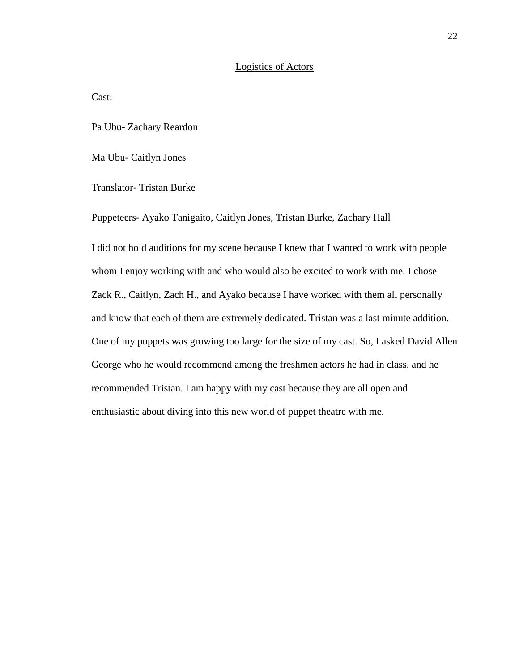#### Logistics of Actors

Cast:

Pa Ubu- Zachary Reardon

Ma Ubu- Caitlyn Jones

Translator- Tristan Burke

Puppeteers- Ayako Tanigaito, Caitlyn Jones, Tristan Burke, Zachary Hall

I did not hold auditions for my scene because I knew that I wanted to work with people whom I enjoy working with and who would also be excited to work with me. I chose Zack R., Caitlyn, Zach H., and Ayako because I have worked with them all personally and know that each of them are extremely dedicated. Tristan was a last minute addition. One of my puppets was growing too large for the size of my cast. So, I asked David Allen George who he would recommend among the freshmen actors he had in class, and he recommended Tristan. I am happy with my cast because they are all open and enthusiastic about diving into this new world of puppet theatre with me.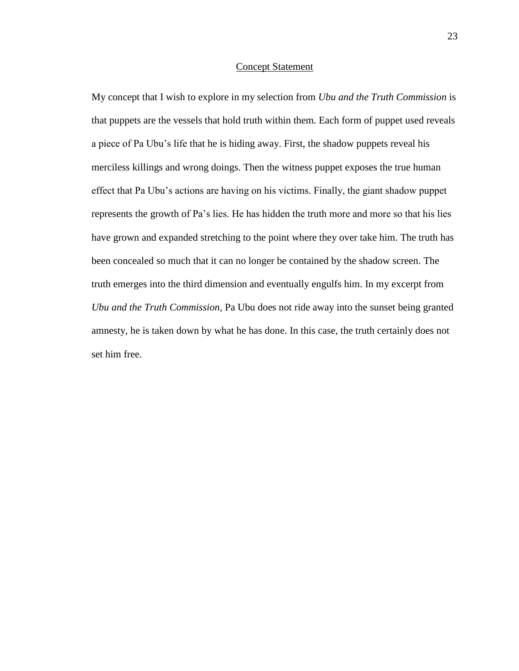#### Concept Statement

My concept that I wish to explore in my selection from *Ubu and the Truth Commission* is that puppets are the vessels that hold truth within them. Each form of puppet used reveals a piece of Pa Ubu's life that he is hiding away. First, the shadow puppets reveal his merciless killings and wrong doings. Then the witness puppet exposes the true human effect that Pa Ubu's actions are having on his victims. Finally, the giant shadow puppet represents the growth of Pa's lies. He has hidden the truth more and more so that his lies have grown and expanded stretching to the point where they over take him. The truth has been concealed so much that it can no longer be contained by the shadow screen. The truth emerges into the third dimension and eventually engulfs him. In my excerpt from *Ubu and the Truth Commission,* Pa Ubu does not ride away into the sunset being granted amnesty, he is taken down by what he has done. In this case, the truth certainly does not set him free.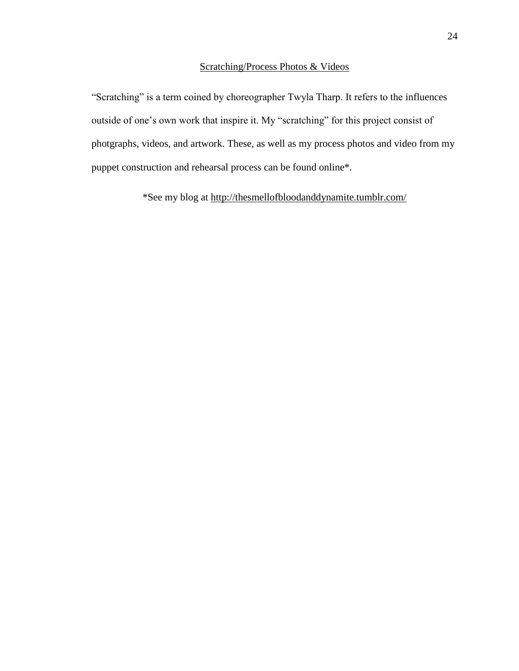### Scratching/Process Photos & Videos

"Scratching" is a term coined by choreographer Twyla Tharp. It refers to the influences outside of one's own work that inspire it. My "scratching" for this project consist of photgraphs, videos, and artwork. These, as well as my process photos and video from my puppet construction and rehearsal process can be found online\*.

\*See my blog at<http://thesmellofbloodanddynamite.tumblr.com/>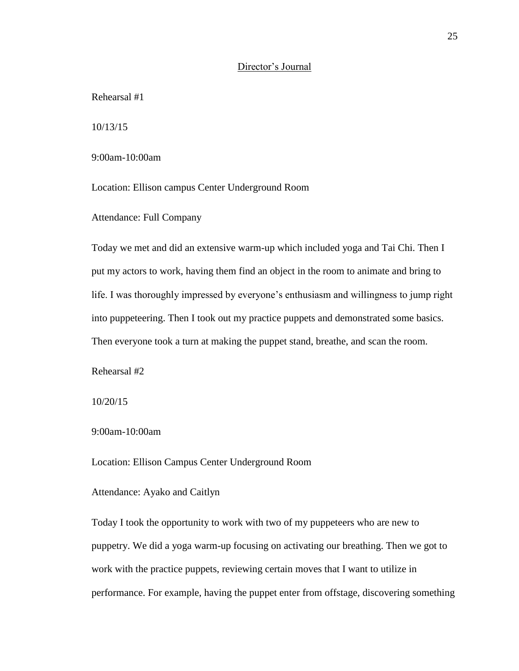#### Director's Journal

Rehearsal #1

10/13/15

9:00am-10:00am

Location: Ellison campus Center Underground Room

Attendance: Full Company

Today we met and did an extensive warm-up which included yoga and Tai Chi. Then I put my actors to work, having them find an object in the room to animate and bring to life. I was thoroughly impressed by everyone's enthusiasm and willingness to jump right into puppeteering. Then I took out my practice puppets and demonstrated some basics. Then everyone took a turn at making the puppet stand, breathe, and scan the room.

Rehearsal #2

10/20/15

9:00am-10:00am

Location: Ellison Campus Center Underground Room

#### Attendance: Ayako and Caitlyn

Today I took the opportunity to work with two of my puppeteers who are new to puppetry. We did a yoga warm-up focusing on activating our breathing. Then we got to work with the practice puppets, reviewing certain moves that I want to utilize in performance. For example, having the puppet enter from offstage, discovering something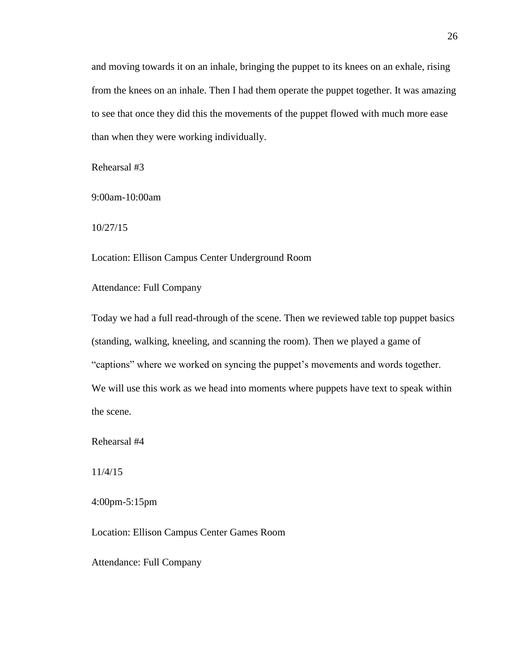and moving towards it on an inhale, bringing the puppet to its knees on an exhale, rising from the knees on an inhale. Then I had them operate the puppet together. It was amazing to see that once they did this the movements of the puppet flowed with much more ease than when they were working individually.

Rehearsal #3

9:00am-10:00am

10/27/15

Location: Ellison Campus Center Underground Room

Attendance: Full Company

Today we had a full read-through of the scene. Then we reviewed table top puppet basics (standing, walking, kneeling, and scanning the room). Then we played a game of "captions" where we worked on syncing the puppet's movements and words together. We will use this work as we head into moments where puppets have text to speak within the scene.

Rehearsal #4

11/4/15

4:00pm-5:15pm

Location: Ellison Campus Center Games Room

Attendance: Full Company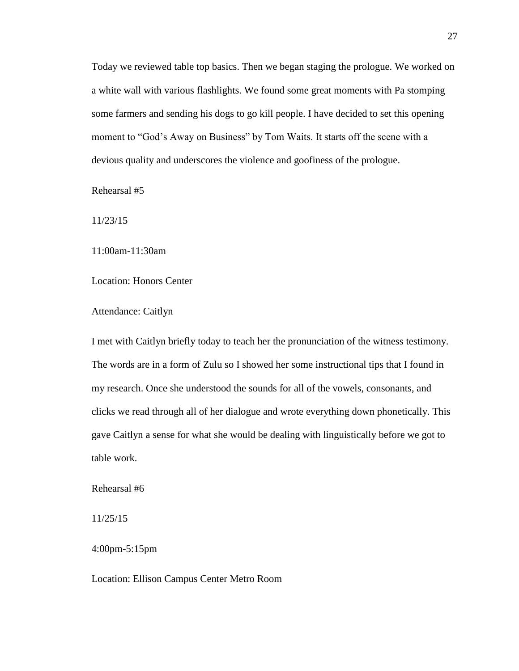Today we reviewed table top basics. Then we began staging the prologue. We worked on a white wall with various flashlights. We found some great moments with Pa stomping some farmers and sending his dogs to go kill people. I have decided to set this opening moment to "God's Away on Business" by Tom Waits. It starts off the scene with a devious quality and underscores the violence and goofiness of the prologue.

Rehearsal #5

11/23/15

11:00am-11:30am

Location: Honors Center

Attendance: Caitlyn

I met with Caitlyn briefly today to teach her the pronunciation of the witness testimony. The words are in a form of Zulu so I showed her some instructional tips that I found in my research. Once she understood the sounds for all of the vowels, consonants, and clicks we read through all of her dialogue and wrote everything down phonetically. This gave Caitlyn a sense for what she would be dealing with linguistically before we got to table work.

Rehearsal #6

11/25/15

4:00pm-5:15pm

Location: Ellison Campus Center Metro Room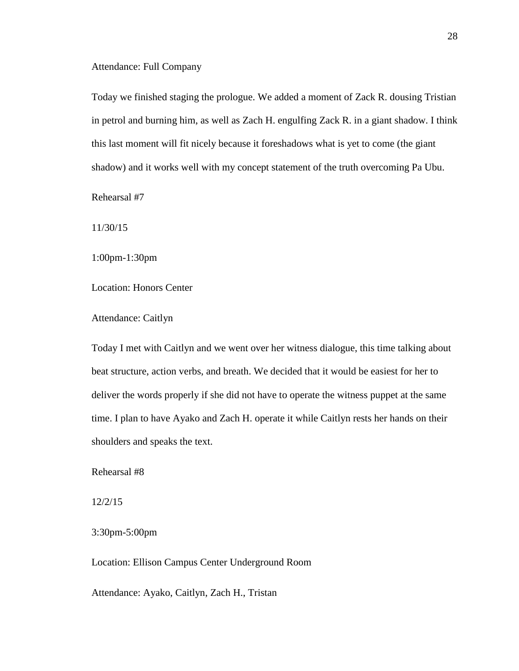#### Attendance: Full Company

Today we finished staging the prologue. We added a moment of Zack R. dousing Tristian in petrol and burning him, as well as Zach H. engulfing Zack R. in a giant shadow. I think this last moment will fit nicely because it foreshadows what is yet to come (the giant shadow) and it works well with my concept statement of the truth overcoming Pa Ubu.

Rehearsal #7

11/30/15

1:00pm-1:30pm

Location: Honors Center

Attendance: Caitlyn

Today I met with Caitlyn and we went over her witness dialogue, this time talking about beat structure, action verbs, and breath. We decided that it would be easiest for her to deliver the words properly if she did not have to operate the witness puppet at the same time. I plan to have Ayako and Zach H. operate it while Caitlyn rests her hands on their shoulders and speaks the text.

Rehearsal #8

12/2/15

3:30pm-5:00pm

Location: Ellison Campus Center Underground Room

Attendance: Ayako, Caitlyn, Zach H., Tristan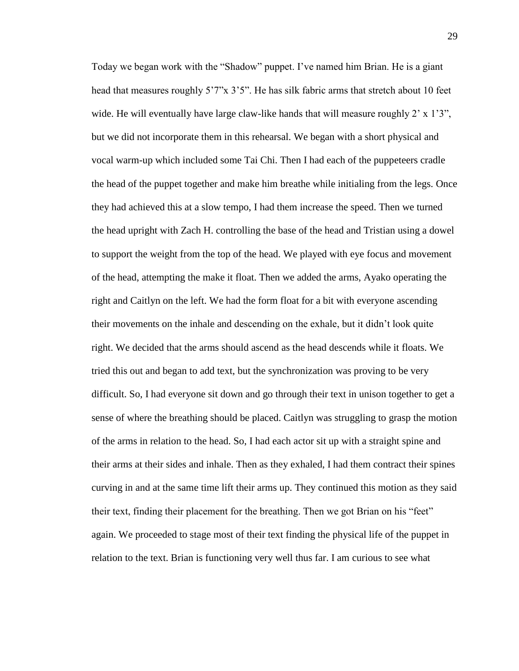Today we began work with the "Shadow" puppet. I've named him Brian. He is a giant head that measures roughly 5'7"x 3'5". He has silk fabric arms that stretch about 10 feet wide. He will eventually have large claw-like hands that will measure roughly  $2' \times 1'3''$ , but we did not incorporate them in this rehearsal. We began with a short physical and vocal warm-up which included some Tai Chi. Then I had each of the puppeteers cradle the head of the puppet together and make him breathe while initialing from the legs. Once they had achieved this at a slow tempo, I had them increase the speed. Then we turned the head upright with Zach H. controlling the base of the head and Tristian using a dowel to support the weight from the top of the head. We played with eye focus and movement of the head, attempting the make it float. Then we added the arms, Ayako operating the right and Caitlyn on the left. We had the form float for a bit with everyone ascending their movements on the inhale and descending on the exhale, but it didn't look quite right. We decided that the arms should ascend as the head descends while it floats. We tried this out and began to add text, but the synchronization was proving to be very difficult. So, I had everyone sit down and go through their text in unison together to get a sense of where the breathing should be placed. Caitlyn was struggling to grasp the motion of the arms in relation to the head. So, I had each actor sit up with a straight spine and their arms at their sides and inhale. Then as they exhaled, I had them contract their spines curving in and at the same time lift their arms up. They continued this motion as they said their text, finding their placement for the breathing. Then we got Brian on his "feet" again. We proceeded to stage most of their text finding the physical life of the puppet in relation to the text. Brian is functioning very well thus far. I am curious to see what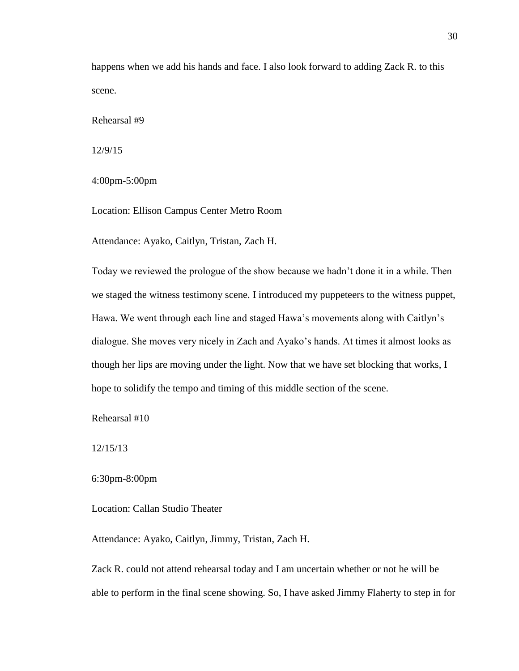happens when we add his hands and face. I also look forward to adding Zack R. to this scene.

Rehearsal #9

12/9/15

4:00pm-5:00pm

Location: Ellison Campus Center Metro Room

Attendance: Ayako, Caitlyn, Tristan, Zach H.

Today we reviewed the prologue of the show because we hadn't done it in a while. Then we staged the witness testimony scene. I introduced my puppeteers to the witness puppet, Hawa. We went through each line and staged Hawa's movements along with Caitlyn's dialogue. She moves very nicely in Zach and Ayako's hands. At times it almost looks as though her lips are moving under the light. Now that we have set blocking that works, I hope to solidify the tempo and timing of this middle section of the scene.

Rehearsal #10

12/15/13

6:30pm-8:00pm

Location: Callan Studio Theater

Attendance: Ayako, Caitlyn, Jimmy, Tristan, Zach H.

Zack R. could not attend rehearsal today and I am uncertain whether or not he will be able to perform in the final scene showing. So, I have asked Jimmy Flaherty to step in for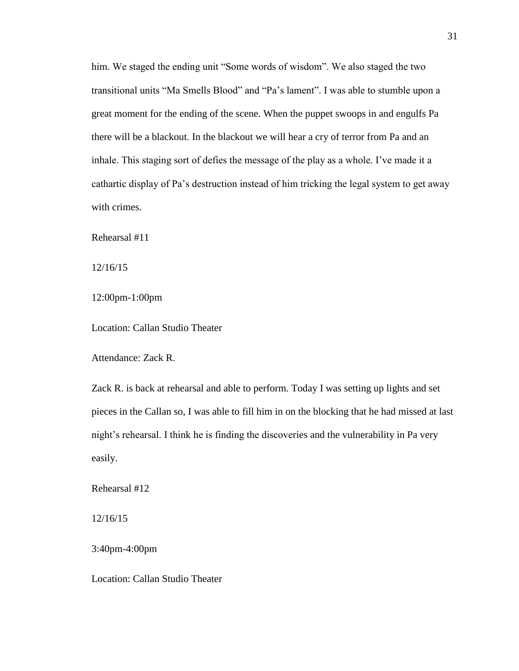him. We staged the ending unit "Some words of wisdom". We also staged the two transitional units "Ma Smells Blood" and "Pa's lament". I was able to stumble upon a great moment for the ending of the scene. When the puppet swoops in and engulfs Pa there will be a blackout. In the blackout we will hear a cry of terror from Pa and an inhale. This staging sort of defies the message of the play as a whole. I've made it a cathartic display of Pa's destruction instead of him tricking the legal system to get away with crimes.

Rehearsal #11

12/16/15

12:00pm-1:00pm

Location: Callan Studio Theater

Attendance: Zack R.

Zack R. is back at rehearsal and able to perform. Today I was setting up lights and set pieces in the Callan so, I was able to fill him in on the blocking that he had missed at last night's rehearsal. I think he is finding the discoveries and the vulnerability in Pa very easily.

Rehearsal #12

12/16/15

3:40pm-4:00pm

Location: Callan Studio Theater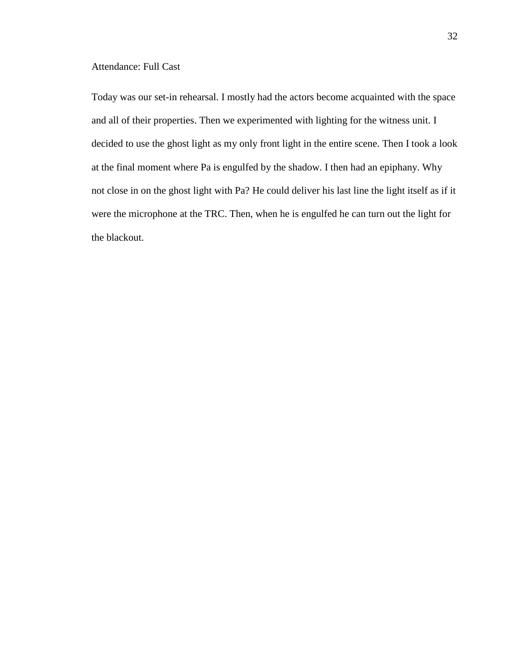#### Attendance: Full Cast

Today was our set-in rehearsal. I mostly had the actors become acquainted with the space and all of their properties. Then we experimented with lighting for the witness unit. I decided to use the ghost light as my only front light in the entire scene. Then I took a look at the final moment where Pa is engulfed by the shadow. I then had an epiphany. Why not close in on the ghost light with Pa? He could deliver his last line the light itself as if it were the microphone at the TRC. Then, when he is engulfed he can turn out the light for the blackout.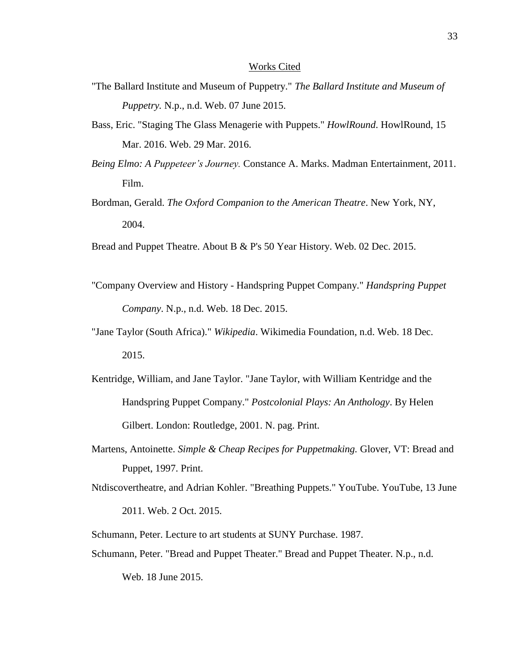#### Works Cited

- "The Ballard Institute and Museum of Puppetry." *The Ballard Institute and Museum of Puppetry.* N.p., n.d. Web. 07 June 2015.
- Bass, Eric. "Staging The Glass Menagerie with Puppets." *HowlRound*. HowlRound, 15 Mar. 2016. Web. 29 Mar. 2016.
- *Being Elmo: A Puppeteer's Journey.* Constance A. Marks. Madman Entertainment, 2011. Film.
- Bordman, Gerald. *The Oxford Companion to the American Theatre*. New York, NY, 2004.
- Bread and Puppet Theatre. About B & P's 50 Year History. Web. 02 Dec. 2015.
- "Company Overview and History Handspring Puppet Company." *Handspring Puppet Company*. N.p., n.d. Web. 18 Dec. 2015.
- "Jane Taylor (South Africa)." *Wikipedia*. Wikimedia Foundation, n.d. Web. 18 Dec. 2015.
- Kentridge, William, and Jane Taylor. "Jane Taylor, with William Kentridge and the Handspring Puppet Company." *Postcolonial Plays: An Anthology*. By Helen Gilbert. London: Routledge, 2001. N. pag. Print.
- Martens, Antoinette. *Simple & Cheap Recipes for Puppetmaking.* Glover, VT: Bread and Puppet, 1997. Print.
- Ntdiscovertheatre, and Adrian Kohler. "Breathing Puppets." YouTube. YouTube, 13 June 2011. Web. 2 Oct. 2015.
- Schumann, Peter. Lecture to art students at SUNY Purchase. 1987.
- Schumann, Peter. "Bread and Puppet Theater." Bread and Puppet Theater. N.p., n.d.

Web. 18 June 2015.